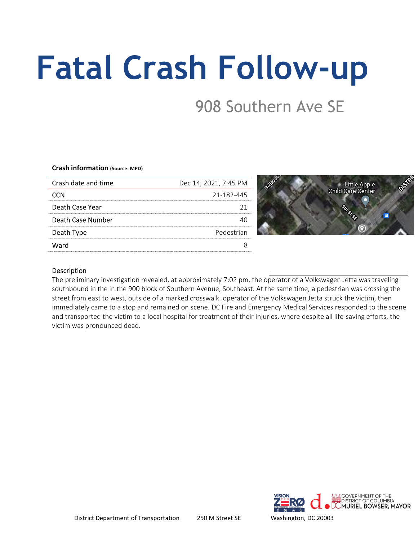# Fatal Crash Follow-up

## 908 Southern Ave SE

#### Crash information (Source: MPD)

| Crash date and time | Dec 14, 2021, 7:45 PM |
|---------------------|-----------------------|
| CCN                 | 21-182-445            |
| Death Case Year     |                       |
| Death Case Number   |                       |
| Death Type          | Pedestrian            |
| Ward                |                       |
|                     |                       |

Google maps screenshot of crash location

#### Description

The preliminary investigation revealed, at approximately 7:02 pm, the operator of a Volkswagen Jetta was traveling southbound in the in the 900 block of Southern Avenue, Southeast. At the same time, a pedestrian was crossing the street from east to west, outside of a marked crosswalk. operator of the Volkswagen Jetta struck the victim, then immediately came to a stop and remained on scene. DC Fire and Emergency Medical Services responded to the scene and transported the victim to a local hospital for treatment of their injuries, where despite all life-saving efforts, the victim was pronounced dead.